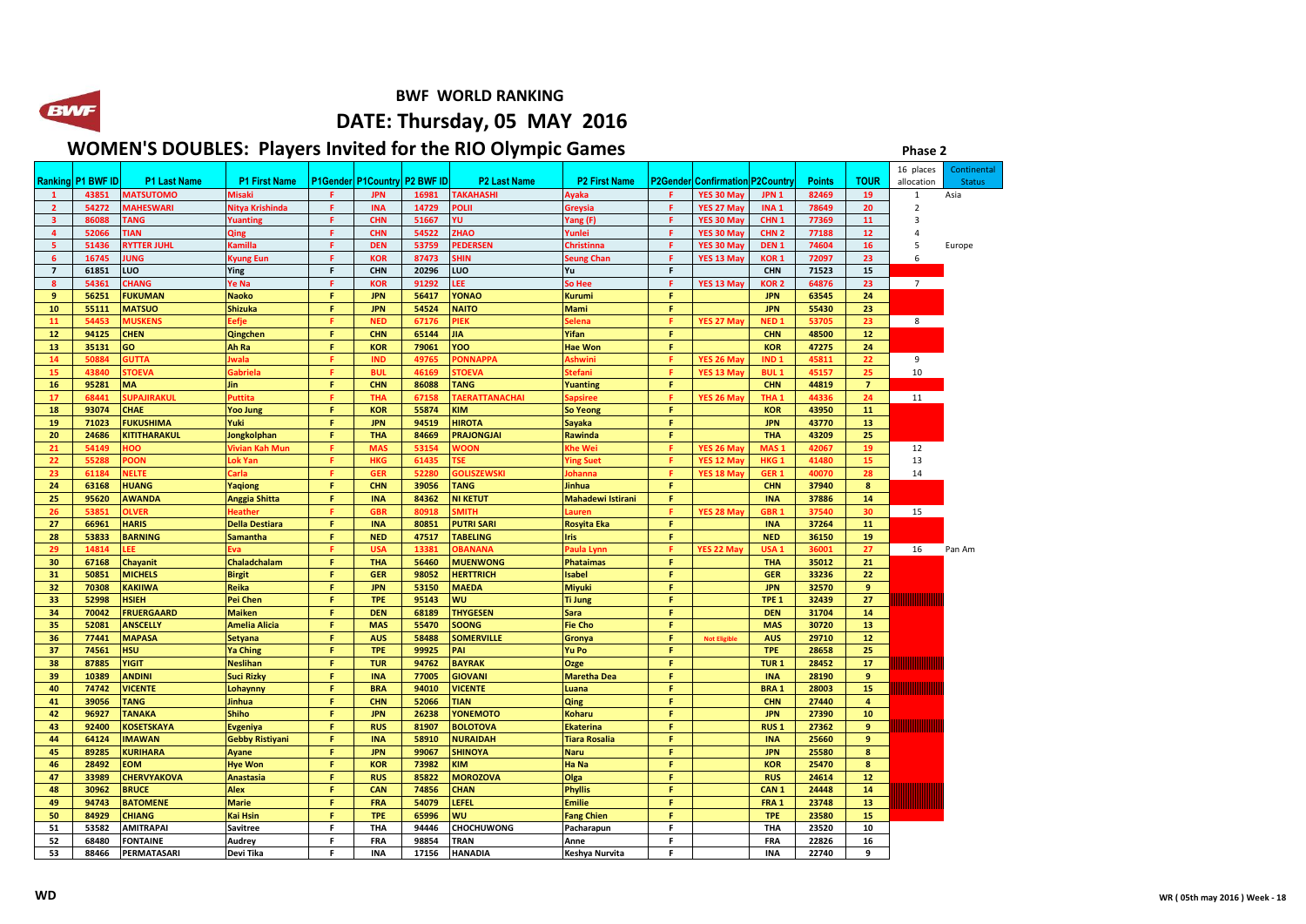**BWF WORLD RANKING** 

## **DATE: Thursday, 05 MAY 2016**

## **WOMEN'S DOUBLES: Players Invited for the RIO Olympic Games** *Phase 2 Phase 2*

|                |           |                     |                        |    |                                     |       |                       |                          |    |                                |                        |               |                | 16 places      | Continental   |
|----------------|-----------|---------------------|------------------------|----|-------------------------------------|-------|-----------------------|--------------------------|----|--------------------------------|------------------------|---------------|----------------|----------------|---------------|
| <b>Ranking</b> | P1 BWF ID | <b>P1 Last Name</b> | <b>P1 First Name</b>   |    | <b>P1Gender P1Country P2 BWF ID</b> |       | <b>P2 Last Name</b>   | <b>P2 First Name</b>     |    | P2Gender Confirmation P2Countr |                        | <b>Points</b> | TOUR           | allocation     | <b>Status</b> |
|                | 43851     | <b>MATSUTOMO</b>    | <b>Misaki</b>          | F  | <b>JPN</b>                          | 16981 | <b>TAKAHASHI</b>      | <b>waka</b>              | F  | YES 30 May                     | JPN <sub>1</sub>       | 82469         | 19             | $\mathbf{1}$   | Asia          |
| $\overline{2}$ | 54272     | <b>MAHESWARI</b>    | Nitya Krishinda        | F. | <b>INA</b>                          | 14729 | POLII                 | Greysia                  | F. | YES 27 May                     | INA <sub>1</sub>       | 78649         | 20             | $\overline{2}$ |               |
| 3              | 86088     | <b>TANG</b>         | Yuanting               | F  | <b>CHN</b>                          | 51667 | ΥU.                   | Yang (F)                 | F. | YES 30 May                     | CHN <sub>1</sub>       | 77369         | 11             | $\overline{3}$ |               |
| $\overline{a}$ | 52066     | <b>TIAN</b>         | Qing                   | F  | <b>CHN</b>                          | 54522 | <b>HAO</b>            | Yunlei                   | F  | YES 30 May                     | CHN <sub>2</sub>       | 77188         | 12             | $\overline{4}$ |               |
| 5              | 51436     | <b>RYTTER JUHL</b>  | Kamilla                | F. | <b>DEN</b>                          | 53759 | PEDERSEN              | Christinna               | F  | YES 30 May                     | DEN <sub>1</sub>       | 74604         | 16             | 5              | Europe        |
| 6              | 16745     | <b>JUNG</b>         | Kyung Eun              | F. | <b>KOR</b>                          | 87473 | <b>HIN</b>            | Seung Chan               | F  | YES 13 May                     | KOR 1                  | 72097         | 23             | 6              |               |
| $\overline{7}$ | 61851     | LUO                 | Ying                   | F  | <b>CHN</b>                          | 20296 | LUO                   | Yu                       | F  |                                | <b>CHN</b>             | 71523         | 15             |                |               |
| 8              | 54361     | <b>CHANG</b>        | Ye Na                  | F. | <b>KOR</b>                          | 91292 | EE.                   | So Hee                   | F  | YES 13 May                     | KOR <sub>2</sub>       | 64876         | 23             | $\overline{7}$ |               |
| 9              | 56251     | <b>FUKUMAN</b>      | <b>Naoko</b>           | F. | <b>JPN</b>                          | 56417 | <b>YONAO</b>          | <b>Kurumi</b>            | F. |                                | <b>JPN</b>             | 63545         | 24             |                |               |
| 10             | 55111     | <b>MATSUO</b>       | <b>Shizuka</b>         | F  | <b>JPN</b>                          | 54524 | <b>NAITO</b>          | <b>Mami</b>              | F. |                                | <b>JPN</b>             | 55430         | 23             |                |               |
| 11             | 54453     | <b>MUSKENS</b>      | Eefje                  | F  | <b>NED</b>                          | 67176 | PIEK                  | elena                    | F  | YES 27 May                     | <b>NED<sub>1</sub></b> | 53705         | 23             | 8              |               |
| 12             | 94125     | <b>CHEN</b>         | Qingchen               | F. | <b>CHN</b>                          | 65144 | <b>JIA</b>            | Yifan                    | F. |                                | <b>CHN</b>             | 48500         | 12             |                |               |
| 13             | 35131     | GO                  | Ah Ra                  | F  | <b>KOR</b>                          | 79061 | YOO                   | <b>Hae Won</b>           | F  |                                | <b>KOR</b>             | 47275         | 24             |                |               |
| 14             | 50884     | <b>GUTTA</b>        | wala                   | F  | <b>IND</b>                          | 4976  | <b>ONNAPPA</b>        | Ashwini                  | F  | YES 26 May                     | IND <sub>1</sub>       | 45811         | 22             | 9              |               |
| 15             | 43840     | <b>STOEVA</b>       | Gabriela               | F. | <b>BUL</b>                          | 46169 | <b>STOEVA</b>         | itefani                  | F. | YES 13 May                     | <b>BUL1</b>            | 45157         | 25             | 10             |               |
| 16             | 95281     | <b>MA</b>           | <b>Jin</b>             | F. | <b>CHN</b>                          | 86088 | TANG                  | <b>Yuanting</b>          | F. |                                | <b>CHN</b>             | 44819         | $\overline{7}$ |                |               |
| 17             | 68441     | <b>SUPAJIRAKUL</b>  | Puttita                | я  | <b>THA</b>                          | 67158 | <b>TAERATTANACHAI</b> | apsiree                  | F  | YES 26 May                     | THA <sub>1</sub>       | 44336         | 24             | 11             |               |
| 18             | 93074     | <b>CHAE</b>         | <b>Yoo Jung</b>        | F  | <b>KOR</b>                          | 55874 | <b>KIM</b>            | <b>So Yeong</b>          | F  |                                | <b>KOR</b>             | 43950         | 11             |                |               |
| 19             | 71023     | <b>FUKUSHIMA</b>    | Yuki                   | F  | <b>JPN</b>                          | 94519 | <b>HIROTA</b>         | <b>Sayaka</b>            | F. |                                | <b>JPN</b>             | 43770         | 13             |                |               |
| 20             | 24686     | <b>KITITHARAKUL</b> | Jongkolphan            | F  | <b>THA</b>                          | 84669 | <b>PRAJONGJAI</b>     | Rawinda                  | F  |                                | <b>THA</b>             | 43209         | 25             |                |               |
| 21             | 54149     | <b>OO</b>           | Vivian Kah Mun         | я  | <b>MAS</b>                          | 53154 | <b>VOON</b>           | <b>Che Wei</b>           | F  | YES 26 May                     | MAS:                   | 42067         | 19             | 12             |               |
| 22             | 55288     | POON                | ok Yan                 | F. | <b>HKG</b>                          | 61435 | <b>ISE</b>            | <b>Ying Suet</b>         | F  | YES 12 May                     | HKG <sub>1</sub>       | 41480         | 15             | 13             |               |
| 23             | 61184     | <b>NELTE</b>        | arla:                  | F  | <b>GER</b>                          | 52280 | <b>SOLISZEWSKI</b>    | ohanna                   | F  | YES 18 May                     | GER <sub>1</sub>       | 40070         | 28             | 14             |               |
| 24             | 63168     | <b>HUANG</b>        | Yaqiong                | F  | <b>CHN</b>                          | 39056 | <b>TANG</b>           | Jinhua                   | F. |                                | <b>CHN</b>             | 37940         | 8              |                |               |
| 25             | 95620     | <b>AWANDA</b>       | Anggia Shitta          | F  | <b>INA</b>                          | 84362 | <b>NI KETUT</b>       | <b>Mahadewi Istirani</b> | F  |                                | <b>INA</b>             | 37886         | 14             |                |               |
| 26             | 53851     | <b>OLVER</b>        | Heather                | F  | <b>GBR</b>                          | 80918 | <b>MITH</b>           | auren                    | F  | YES 28 May                     | GBR <sub>1</sub>       | 37540         | 30             | 15             |               |
| 27             | 66961     | <b>HARIS</b>        | <b>Della Destiara</b>  | F  | <b>INA</b>                          | 80851 | <b>PUTRI SARI</b>     | <b>Rosyita Eka</b>       | F  |                                | <b>INA</b>             | 37264         | 11             |                |               |
| 28             | 53833     | <b>BARNING</b>      | <b>Samantha</b>        | F  | <b>NED</b>                          | 47517 | <b>TABELING</b>       | Iris                     | F  |                                | <b>NED</b>             | 36150         | 19             |                |               |
| 29             | 14814     | LEE                 | Eva                    | F. | <b>USA</b>                          | 13381 | <b>OBANANA</b>        | Paula Lynn               | F. | YES 22 May                     | USA <sub>1</sub>       | 36001         | 27             | 16             | Pan Am        |
| 30             | 67168     | <b>Chayanit</b>     | Chaladchalam           | F  | <b>THA</b>                          | 56460 | <b>MUENWONG</b>       | <b>Phataimas</b>         | F  |                                | <b>THA</b>             | 35012         | 21             |                |               |
| 31             | 50851     | <b>MICHELS</b>      | <b>Birgit</b>          | F  | <b>GER</b>                          | 98052 | <b>HERTTRICH</b>      | <b>Isabel</b>            | F  |                                | <b>GER</b>             | 33236         | 22             |                |               |
| 32             | 70308     | <b>KAKIIWA</b>      | Reika                  | F. | <b>JPN</b>                          | 53150 | <b>MAEDA</b>          | <b>Miyuki</b>            | F. |                                | <b>JPN</b>             | 32570         | 9              |                |               |
| 33             | 52998     | <b>HSIEH</b>        | <b>Pei Chen</b>        | F  | <b>TPE</b>                          | 95143 | WU                    | <b>Ti Jung</b>           | F  |                                | TPE <sub>1</sub>       | 32439         | 27             |                |               |
| 34             | 70042     | <b>FRUERGAARD</b>   | <b>Maiken</b>          | F  | <b>DEN</b>                          | 68189 | <b>THYGESEN</b>       | <b>Sara</b>              | F  |                                | <b>DEN</b>             | 31704         | 14             |                |               |
| 35             | 52081     | <b>ANSCELLY</b>     | <b>Amelia Alicia</b>   | F  | <b>MAS</b>                          | 55470 | <b>SOONG</b>          | <b>Fie Cho</b>           | F  |                                | <b>MAS</b>             | 30720         | 13             |                |               |
| 36             | 77441     | <b>MAPASA</b>       | <b>Setyana</b>         | F. | <b>AUS</b>                          | 58488 | <b>SOMERVILLE</b>     | Gronya                   | F. | <b>Not Eligible</b>            | <b>AUS</b>             | 29710         | 12             |                |               |
| 37             | 74561     | <b>HSU</b>          | <b>Ya Ching</b>        | F  | <b>TPE</b>                          | 99925 | PAI                   | Yu Po                    | F  |                                | <b>TPE</b>             | 28658         | 25             |                |               |
| 38             | 87885     | <b>YIGIT</b>        | <b>Neslihan</b>        | F  | <b>TUR</b>                          | 94762 | <b>BAYRAK</b>         | Ozge                     | F  |                                | TUR <sub>1</sub>       | 28452         | 17             |                |               |
| 39             | 10389     | <b>ANDIN</b>        | <b>Suci Rizky</b>      | F. | <b>INA</b>                          | 77005 | <b>GIOVANI</b>        | <b>Maretha Dea</b>       | F  |                                | <b>INA</b>             | 28190         | 9              |                |               |
| 40             | 74742     | <b>VICENTE</b>      | Lohaynny               | F. | <b>BRA</b>                          | 94010 | <b>VICENTE</b>        | Luana                    | F  |                                | <b>BRA1</b>            | 28003         | 15             |                |               |
| 41             | 39056     | <b>TANG</b>         | Jinhua                 | F  | <b>CHN</b>                          | 52066 | <b>TIAN</b>           | Qing                     | F  |                                | <b>CHN</b>             | 27440         | 4              |                |               |
| 42             | 96927     | <b>TANAKA</b>       | <b>Shiho</b>           | F  | <b>JPN</b>                          | 26238 | YONEMOTO              | <b>Koharu</b>            | F  |                                | <b>JPN</b>             | 27390         | 10             |                |               |
| 43             | 92400     | <b>KOSETSKAYA</b>   | Evgeniya               | F. | <b>RUS</b>                          | 81907 | <b>BOLOTOVA</b>       | <b>Ekaterina</b>         | F  |                                | RUS <sub>1</sub>       | 27362         | 9              |                |               |
| 44             | 64124     | <b>IMAWAN</b>       | <b>Gebby Ristiyani</b> | F  | <b>INA</b>                          | 58910 | <b>NURAIDAH</b>       | <b>Tiara Rosalia</b>     | F  |                                | <b>INA</b>             | 25660         | 9              |                |               |
| 45             | 89285     | <b>KURIHARA</b>     | Ayane                  | F  | <b>JPN</b>                          | 99067 | <b>SHINOYA</b>        | <b>Naru</b>              | F  |                                | <b>JPN</b>             | 25580         | 8              |                |               |
| 46             | 28492     | <b>EOM</b>          | <b>Hye Won</b>         | F. | <b>KOR</b>                          | 73982 | <b>KIM</b>            | Ha Na                    | F. |                                | <b>KOR</b>             | 25470         | 8              |                |               |
| 47             | 33989     | <b>CHERVYAKOVA</b>  | <b>Anastasia</b>       | F  | <b>RUS</b>                          | 85822 | <b>MOROZOVA</b>       | Olga                     | F  |                                | <b>RUS</b>             | 24614         | $12$           |                |               |
| 48             | 30962     | <b>BRUCE</b>        | <b>Alex</b>            | F  | CAN                                 | 74856 | <b>CHAN</b>           | <b>Phyllis</b>           | F  |                                | CAN <sub>1</sub>       | 24448         | 14             |                |               |
| 49             | 94743     | <b>BATOMENE</b>     | <b>Marie</b>           | F. | <b>FRA</b>                          | 54079 | LEFEL                 | <b>Emilie</b>            | F  |                                | FRA <sub>1</sub>       | 23748         | 13             |                |               |
| 50             | 84929     | <b>CHIANG</b>       | <b>Kai Hsin</b>        | F  | <b>TPE</b>                          | 65996 | WU                    | <b>Fang Chien</b>        | F  |                                | <b>TPE</b>             | 23580         | 15             |                |               |
| 51             | 53582     | <b>AMITRAPAI</b>    | <b>Savitree</b>        | F  | <b>THA</b>                          | 94446 | <b>CHOCHUWONG</b>     | Pacharapun               | F  |                                | THA                    | 23520         | 10             |                |               |
| 52             | 68480     | <b>FONTAINE</b>     | Audrey                 | F  | <b>FRA</b>                          | 98854 | <b>TRAN</b>           | Anne                     | F  |                                | <b>FRA</b>             | 22826         | 16             |                |               |
| 53             | 88466     | PERMATASARI         | Devi Tika              | F  | <b>INA</b>                          | 17156 | <b>HANADIA</b>        | Keshya Nurvita           | F  |                                | <b>INA</b>             | 22740         | 9              |                |               |

**BWF**